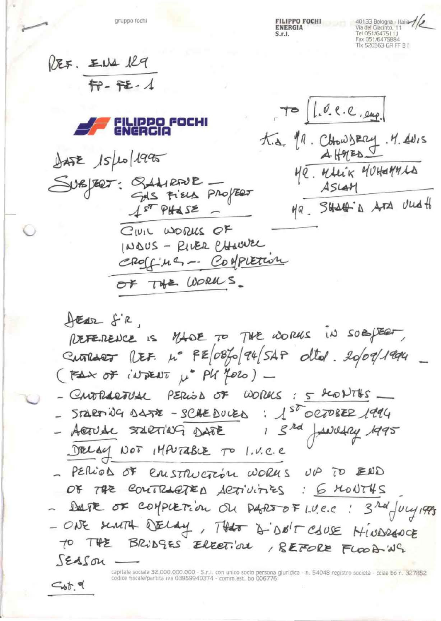gruppo fochi

 $G_{\phi}$   $\uparrow$   $\phi$ 

**FILIPPO FOCHI ENERGIA**  $S_r$ 

40133 Bologna - Italia Via del Giacinto, 11 Tel 051/6475111 Fax 051/6475884 Tlx 520563 GR FF B L

| REF. END 129<br>FP-FE-1                                                                              |                               |
|------------------------------------------------------------------------------------------------------|-------------------------------|
| FILIPPO FOCHI<br>ENERGIA                                                                             | $T^{\infty}$ (1.0.e.e., eug.) |
| $\frac{1}{2452}$ $15\mu\text{o}1995$                                                                 | t.a. 11. ChowsEry . 4. ANIS   |
| SUBJEET: SLAIRFUR -                                                                                  | Me. MALIK MUHEMMAA            |
| GAS FIELD PROPERT                                                                                    | ASLAM                         |
| $157$ PHOSE -<br>CIVIL WORKS OF<br>INDUS - RIVER CHAWVEL<br>CROSS-Ma -- Confluencia<br>OF THE WORKS. | Ma. SHALL A ATA Und to        |
| HEAR S'R,                                                                                            | MADE TO THE WORKS IN SOBJECT, |
| PETERENCE IS                                                                                         | $\frac{1}{2}$                 |

Currier REF. 4° FE 0870 94 SAP Olto . 2009/1994  $(F_{\Delta} \times \sigma F)$  in TRENT  $\mu^*$  PU (2020) -

- CUVERARTUAL PERIOD OF WORKS: 5 GLOVINS

- $-572870904472 50420028$  :  $150000822$  $8$ rd Acrude STARTING DATE Nel DELAY NOT  $147074842701.4c.e.$
- PERIOS OF CRISTRUCTION WORKS UP TO END OF THE COUTRACTED ACTIVITIES : 6 MONTHS DETE OF COMPLETION ON DARS OF LUC.C : 3 rd July 1995
- ONE sCARTH DELAY, THAT & DO'T CAUSE HINDRAPCE TO THE BRIDGES ELECTION, REFORE FLOOD WG SEASON

capitale sociale 32.000.000.000 - S.r.I. con unico socio persona giuridica - n. 54048 registro società - cciaa bo n. 327852 codice fiscale/partita iva 03959940374 - comm.est. bo 006776